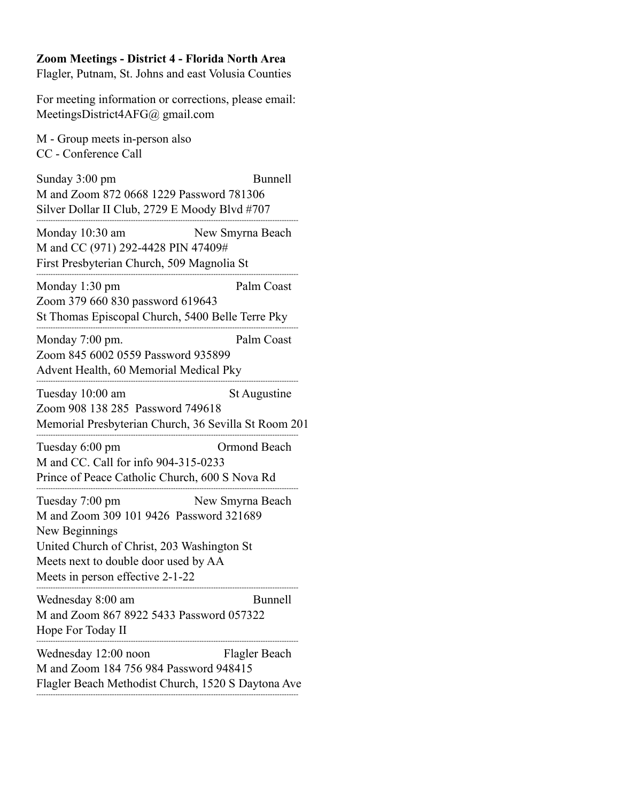## **Zoom Meetings - District 4 - Florida North Area**

Flagler, Putnam, St. Johns and east Volusia Counties

For meeting information or corrections, please email: MeetingsDistrict4AFG@ gmail.com

M - Group meets in-person also CC - Conference Call

Sunday 3:00 pm Bunnell M and Zoom 872 0668 1229 Password 781306 Silver Dollar II Club, 2729 E Moody Blvd #707 --------------------------------------------------------------------------------------------------------------- Monday 10:30 am New Smyrna Beach M and CC (971) 292-4428 PIN 47409# First Presbyterian Church, 509 Magnolia St --------------------------------------------------------------------------------------------------------------- Monday 1:30 pm Palm Coast Zoom 379 660 830 password 619643 St Thomas Episcopal Church, 5400 Belle Terre Pky --------------------------------------------------------------------------------------------------------------- Monday 7:00 pm. Palm Coast Zoom 845 6002 0559 Password 935899 Advent Health, 60 Memorial Medical Pky --------------------------------------------------------------------------------------------------------------- Tuesday 10:00 am St Augustine Zoom 908 138 285 Password 749618 Memorial Presbyterian Church, 36 Sevilla St Room 201 --------------------------------------------------------------------------------------------------------------- Tuesday 6:00 pm Ormond Beach M and CC. Call for info 904-315-0233 Prince of Peace Catholic Church, 600 S Nova Rd --------------------------------------------------------------------------------------------------------------- Tuesday 7:00 pm New Smyrna Beach M and Zoom 309 101 9426 Password 321689 New Beginnings United Church of Christ, 203 Washington St Meets next to double door used by AA Meets in person effective 2-1-22 --------------------------------------------------------------------------------------------------------------- Wednesday 8:00 am Bunnell M and Zoom 867 8922 5433 Password 057322 Hope For Today II --------------------------------------------------------------------------------------------------------------- Wednesday 12:00 noon Flagler Beach M and Zoom 184 756 984 Password 948415 Flagler Beach Methodist Church, 1520 S Daytona Ave ---------------------------------------------------------------------------------------------------------------